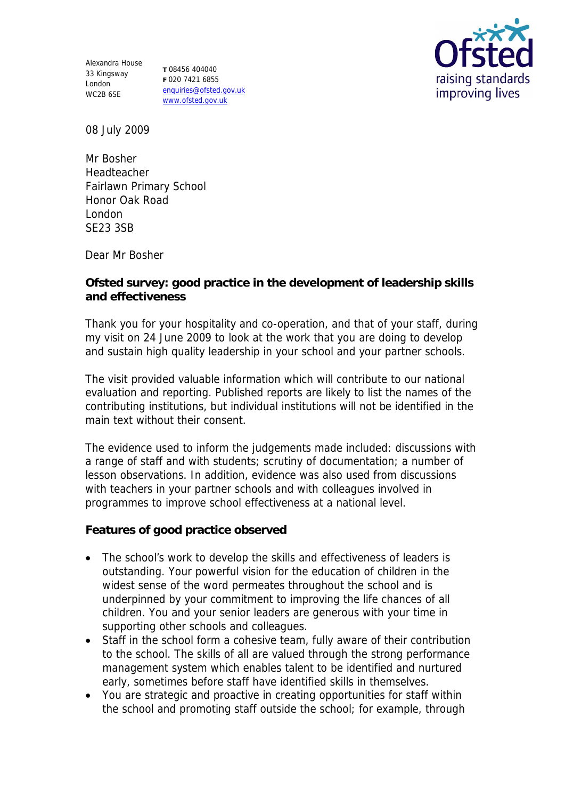Alexandra House 33 Kingsway London WC2B 6SE

**T** 08456 404040 **F** 020 7421 6855 enquiries@ofsted.gov.uk www.ofsted.gov.uk



08 July 2009

Mr Bosher Headteacher Fairlawn Primary School Honor Oak Road London SE23 3SB

Dear Mr Bosher

**Ofsted survey: good practice in the development of leadership skills and effectiveness** 

Thank you for your hospitality and co-operation, and that of your staff, during my visit on 24 June 2009 to look at the work that you are doing to develop and sustain high quality leadership in your school and your partner schools.

The visit provided valuable information which will contribute to our national evaluation and reporting. Published reports are likely to list the names of the contributing institutions, but individual institutions will not be identified in the main text without their consent.

The evidence used to inform the judgements made included: discussions with a range of staff and with students; scrutiny of documentation; a number of lesson observations. In addition, evidence was also used from discussions with teachers in your partner schools and with colleagues involved in programmes to improve school effectiveness at a national level.

**Features of good practice observed**

- The school's work to develop the skills and effectiveness of leaders is outstanding. Your powerful vision for the education of children in the widest sense of the word permeates throughout the school and is underpinned by your commitment to improving the life chances of all children. You and your senior leaders are generous with your time in supporting other schools and colleagues.
- Staff in the school form a cohesive team, fully aware of their contribution to the school. The skills of all are valued through the strong performance management system which enables talent to be identified and nurtured early, sometimes before staff have identified skills in themselves.
- You are strategic and proactive in creating opportunities for staff within the school and promoting staff outside the school; for example, through